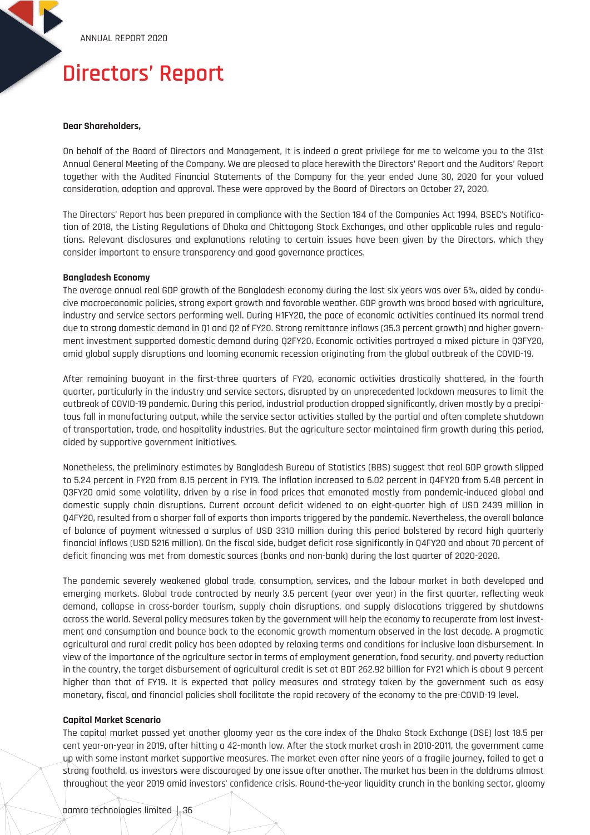# **Directors' Report**

## **Dear Shareholders,**

On behalf of the Board of Directors and Management, It is indeed a great privilege for me to welcome you to the 31st Annual General Meeting of the Company. We are pleased to place herewith the Directors' Report and the Auditors' Report together with the Audited Financial Statements of the Company for the year ended June 30, 2020 for your valued consideration, adoption and approval. These were approved by the Board of Directors on October 27, 2020.

The Directors' Report has been prepared in compliance with the Section 184 of the Companies Act 1994, BSEC's Notification of 2018, the Listing Regulations of Dhaka and Chittagong Stock Exchanges, and other applicable rules and regulations. Relevant disclosures and explanations relating to certain issues have been given by the Directors, which they consider important to ensure transparency and good governance practices.

#### **Bangladesh Economy**

The average annual real GDP growth of the Bangladesh economy during the last six years was over 6%, aided by conducive macroeconomic policies, strong export growth and favorable weather. GDP growth was broad based with agriculture, industry and service sectors performing well. During H1FY20, the pace of economic activities continued its normal trend due to strong domestic demand in Q1 and Q2 of FY20. Strong remittance inflows (35.3 percent growth) and higher government investment supported domestic demand during Q2FY20. Economic activities portrayed a mixed picture in Q3FY20, amid global supply disruptions and looming economic recession originating from the global outbreak of the COVID-19.

After remaining buoyant in the first-three quarters of FY20, economic activities drastically shattered, in the fourth quarter, particularly in the industry and service sectors, disrupted by an unprecedented lockdown measures to limit the outbreak of COVID-19 pandemic. During this period, industrial production dropped significantly, driven mostly by a precipitous fall in manufacturing output, while the service sector activities stalled by the partial and often complete shutdown of transportation, trade, and hospitality industries. But the agriculture sector maintained firm growth during this period, aided by supportive government initiatives.

Nonetheless, the preliminary estimates by Bangladesh Bureau of Statistics (BBS) suggest that real GDP growth slipped to 5.24 percent in FY20 from 8.15 percent in FY19. The inflation increased to 6.02 percent in Q4FY20 from 5.48 percent in Q3FY20 amid some volatility, driven by a rise in food prices that emanated mostly from pandemic-induced global and domestic supply chain disruptions. Current account deficit widened to an eight-quarter high of USD 2439 million in Q4FY20, resulted from a sharper fall of exports than imports triggered by the pandemic. Nevertheless, the overall balance of balance of payment witnessed a surplus of USD 3310 million during this period bolstered by record high quarterly financial inflows (USD 5216 million). On the fiscal side, budget deficit rose significantly in Q4FY20 and about 70 percent of deficit financing was met from domestic sources (banks and non-bank) during the last quarter of 2020-2020.

The pandemic severely weakened global trade, consumption, services, and the labour market in both developed and emerging markets. Global trade contracted by nearly 3.5 percent (year over year) in the first quarter, reflecting weak demand, collapse in cross-border tourism, supply chain disruptions, and supply dislocations triggered by shutdowns across the world. Several policy measures taken by the government will help the economy to recuperate from lost investment and consumption and bounce back to the economic growth momentum observed in the last decade. A pragmatic agricultural and rural credit policy has been adopted by relaxing terms and conditions for inclusive loan disbursement. In view of the importance of the agriculture sector in terms of employment generation, food security, and poverty reduction in the country, the target disbursement of agricultural credit is set at BDT 262.92 billion for FY21 which is about 9 percent higher than that of FY19. It is expected that policy measures and strategy taken by the government such as easy monetary, fiscal, and financial policies shall facilitate the rapid recovery of the economy to the pre-COVID-19 level.

## **Capital Market Scenario**

The capital market passed yet another gloomy year as the core index of the Dhaka Stock Exchange (DSE) lost 18.5 per cent year-on-year in 2019, after hitting a 42-month low. After the stock market crash in 2010-2011, the government came up with some instant market supportive measures. The market even after nine years of a fragile journey, failed to get a strong foothold, as investors were discouraged by one issue after another. The market has been in the doldrums almost throughout the year 2019 amid investors' confidence crisis. Round-the-year liquidity crunch in the banking sector, gloomy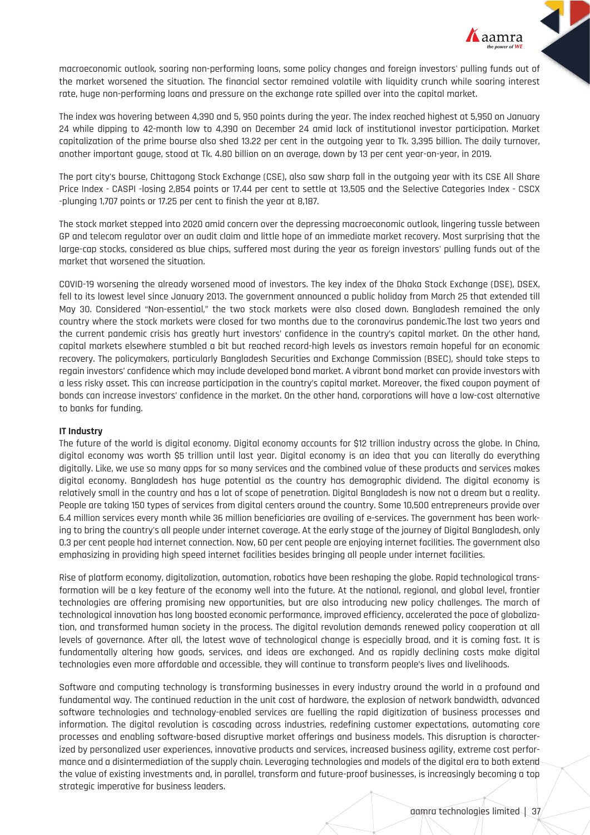

macroeconomic outlook, soaring non-performing loans, some policy changes and foreign investors' pulling funds out of the market worsened the situation. The financial sector remained volatile with liquidity crunch while soaring interest rate, huge non-performing loans and pressure on the exchange rate spilled over into the capital market.

The index was hovering between 4,390 and 5, 950 points during the year. The index reached highest at 5,950 on January 24 while dipping to 42-month low to 4,390 on December 24 amid lack of institutional investor participation. Market capitalization of the prime bourse also shed 13.22 per cent in the outgoing year to Tk. 3,395 billion. The daily turnover, another important gauge, stood at Tk. 4.80 billion on an average, down by 13 per cent year-on-year, in 2019.

The port city's bourse, Chittagong Stock Exchange (CSE), also saw sharp fall in the outgoing year with its CSE All Share Price Index - CASPI -losing 2,854 points or 17.44 per cent to settle at 13,505 and the Selective Categories Index - CSCX -plunging 1,707 points or 17.25 per cent to finish the year at 8,187.

The stock market stepped into 2020 amid concern over the depressing macroeconomic outlook, lingering tussle between GP and telecom regulator over an audit claim and little hope of an immediate market recovery. Most surprising that the large-cap stocks, considered as blue chips, suffered most during the year as foreign investors' pulling funds out of the market that worsened the situation.

COVID-19 worsening the already worsened mood of investors. The key index of the Dhaka Stock Exchange (DSE), DSEX, fell to its lowest level since January 2013. The government announced a public holiday from March 25 that extended till May 30. Considered "Non-essential," the two stock markets were also closed down. Bangladesh remained the only country where the stock markets were closed for two months due to the coronavirus pandemic.The last two years and the current pandemic crisis has greatly hurt investors' confidence in the country's capital market. On the other hand, capital markets elsewhere stumbled a bit but reached record-high levels as investors remain hopeful for an economic recovery. The policymakers, particularly Bangladesh Securities and Exchange Commission (BSEC), should take steps to regain investors' confidence which may include developed bond market. A vibrant bond market can provide investors with a less risky asset. This can increase participation in the country's capital market. Moreover, the fixed coupon payment of bonds can increase investors' confidence in the market. On the other hand, corporations will have a low-cost alternative to banks for funding.

## **IT Industry**

The future of the world is digital economy. Digital economy accounts for \$12 trillion industry across the globe. In China, digital economy was worth \$5 trillion until last year. Digital economy is an idea that you can literally do everything digitally. Like, we use so many apps for so many services and the combined value of these products and services makes digital economy. Bangladesh has huge potential as the country has demographic dividend. The digital economy is relatively small in the country and has a lot of scope of penetration. Digital Bangladesh is now not a dream but a reality. People are taking 150 types of services from digital centers around the country. Some 10,500 entrepreneurs provide over 6.4 million services every month while 36 million beneficiaries are availing of e-services. The government has been working to bring the country's all people under internet coverage. At the early stage of the journey of Digital Bangladesh, only 0.3 per cent people had internet connection. Now, 60 per cent people are enjoying internet facilities. The government also emphasizing in providing high speed internet facilities besides bringing all people under internet facilities.

Rise of platform economy, digitalization, automation, robotics have been reshaping the globe. Rapid technological transformation will be a key feature of the economy well into the future. At the national, regional, and global level, frontier technologies are offering promising new opportunities, but are also introducing new policy challenges. The march of technological innovation has long boosted economic performance, improved efficiency, accelerated the pace of globalization, and transformed human society in the process. The digital revolution demands renewed policy cooperation at all levels of governance. After all, the latest wave of technological change is especially broad, and it is coming fast. It is fundamentally altering how goods, services, and ideas are exchanged. And as rapidly declining costs make digital technologies even more affordable and accessible, they will continue to transform people's lives and livelihoods.

Software and computing technology is transforming businesses in every industry around the world in a profound and fundamental way. The continued reduction in the unit cost of hardware, the explosion of network bandwidth, advanced software technologies and technology-enabled services are fuelling the rapid digitization of business processes and information. The digital revolution is cascading across industries, redefining customer expectations, automating core processes and enabling software-based disruptive market offerings and business models. This disruption is characterized by personalized user experiences, innovative products and services, increased business agility, extreme cost performance and a disintermediation of the supply chain. Leveraging technologies and models of the digital era to both extend the value of existing investments and, in parallel, transform and future-proof businesses, is increasingly becoming a top strategic imperative for business leaders.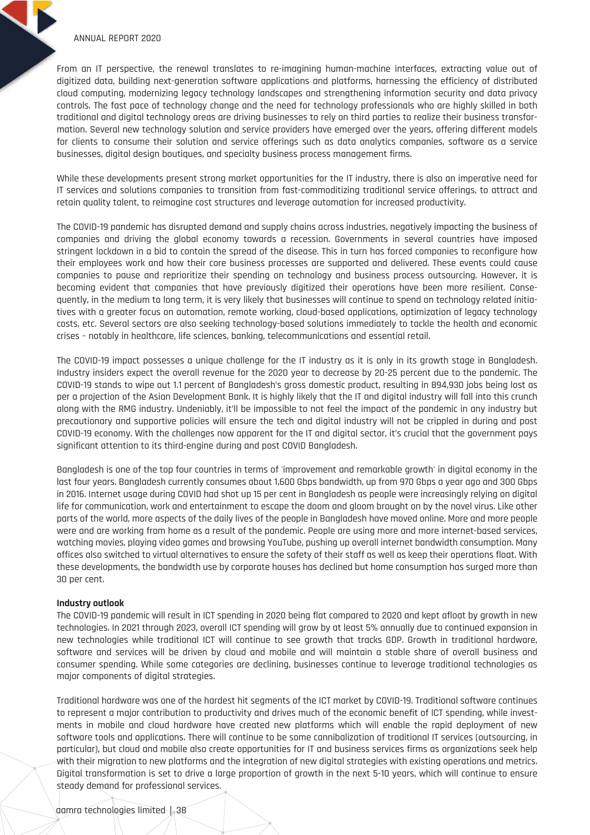From an IT perspective, the renewal translates to re-imagining human-machine interfaces, extracting value out of digitized data, building next-generation software applications and platforms, harnessing the efficiency of distributed cloud computing, modernizing legacy technology landscapes and strengthening information security and data privacy controls. The fast pace of technology change and the need for technology professionals who are highly skilled in both traditional and digital technology areas are driving businesses to rely on third parties to realize their business transformation. Several new technology solution and service providers have emerged over the years, offering different models for clients to consume their solution and service offerings such as data analytics companies, software as a service businesses, digital design boutiques, and specialty business process management firms.

While these developments present strong market opportunities for the IT industry, there is also an imperative need for IT services and solutions companies to transition from fast-commoditizing traditional service offerings, to attract and retain quality talent, to reimagine cost structures and leverage automation for increased productivity.

The COVID-19 pandemic has disrupted demand and supply chains across industries, negatively impacting the business of companies and driving the global economy towards a recession. Governments in several countries have imposed stringent lockdown in a bid to contain the spread of the disease. This in turn has forced companies to reconfigure how their employees work and how their core business processes are supported and delivered. These events could cause companies to pause and reprioritize their spending on technology and business process outsourcing. However, it is becoming evident that companies that have previously digitized their operations have been more resilient. Consequently, in the medium to long term, it is very likely that businesses will continue to spend on technology related initiatives with a greater focus on automation, remote working, cloud-based applications, optimization of legacy technology costs, etc. Several sectors are also seeking technology-based solutions immediately to tackle the health and economic crises – notably in healthcare, life sciences, banking, telecommunications and essential retail.

The COVID-19 impact possesses a unique challenge for the IT industry as it is only in its growth stage in Bangladesh. Industry insiders expect the overall revenue for the 2020 year to decrease by 20-25 percent due to the pandemic. The COVID-19 stands to wipe out 1.1 percent of Bangladesh's gross domestic product, resulting in 894,930 jobs being lost as per a projection of the Asian Development Bank. It is highly likely that the IT and digital industry will fall into this crunch along with the RMG industry. Undeniably, it'll be impossible to not feel the impact of the pandemic in any industry but precautionary and supportive policies will ensure the tech and digital industry will not be crippled in during and post COVID-19 economy. With the challenges now apparent for the IT and digital sector, it's crucial that the government pays significant attention to its third-engine during and post COVID Bangladesh.

Bangladesh is one of the top four countries in terms of 'improvement and remarkable growth' in digital economy in the last four years. Bangladesh currently consumes about 1,600 Gbps bandwidth, up from 970 Gbps a year ago and 300 Gbps in 2016. Internet usage during COVID had shot up 15 per cent in Bangladesh as people were increasingly relying on digital life for communication, work and entertainment to escape the doom and gloom brought on by the novel virus. Like other parts of the world, more aspects of the daily lives of the people in Bangladesh have moved online. More and more people were and are working from home as a result of the pandemic. People are using more and more internet-based services, watching movies, playing video games and browsing YouTube, pushing up overall internet bandwidth consumption. Many offices also switched to virtual alternatives to ensure the safety of their staff as well as keep their operations float. With these developments, the bandwidth use by corporate houses has declined but home consumption has surged more than 30 per cent.

#### **Industry outlook**

The COVID-19 pandemic will result in ICT spending in 2020 being flat compared to 2020 and kept afloat by growth in new technologies. In 2021 through 2023, overall ICT spending will grow by at least 5% annually due to continued expansion in new technologies while traditional ICT will continue to see growth that tracks GDP. Growth in traditional hardware, software and services will be driven by cloud and mobile and will maintain a stable share of overall business and consumer spending. While some categories are declining, businesses continue to leverage traditional technologies as major components of digital strategies.

Traditional hardware was one of the hardest hit segments of the ICT market by COVID-19. Traditional software continues to represent a major contribution to productivity and drives much of the economic benefit of ICT spending, while investments in mobile and cloud hardware have created new platforms which will enable the rapid deployment of new software tools and applications. There will continue to be some cannibalization of traditional IT services (outsourcing, in particular), but cloud and mobile also create opportunities for IT and business services firms as organizations seek help with their migration to new platforms and the integration of new digital strategies with existing operations and metrics. Digital transformation is set to drive a large proportion of growth in the next 5-10 years, which will continue to ensure steady demand for professional services.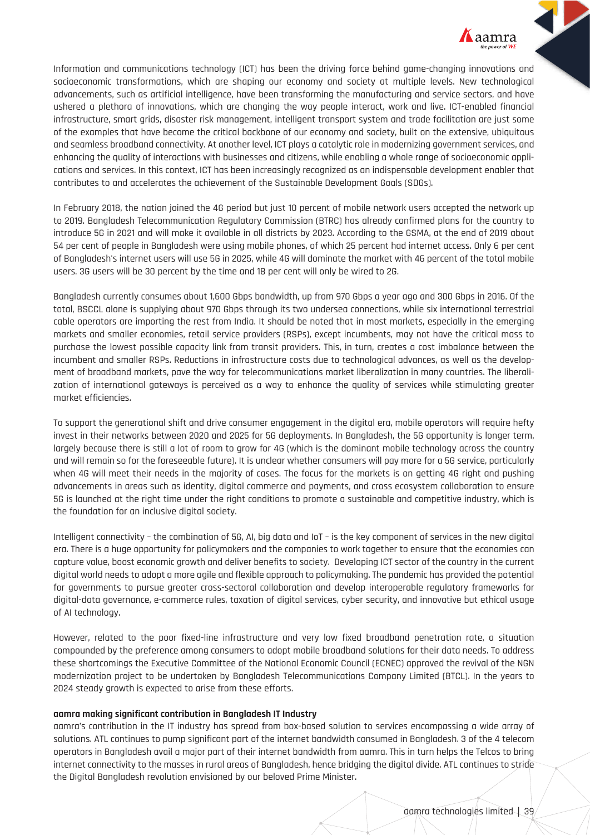

Information and communications technology (ICT) has been the driving force behind game-changing innovations and socioeconomic transformations, which are shaping our economy and society at multiple levels. New technological advancements, such as artificial intelligence, have been transforming the manufacturing and service sectors, and have ushered a plethora of innovations, which are changing the way people interact, work and live. ICT-enabled financial infrastructure, smart grids, disaster risk management, intelligent transport system and trade facilitation are just some of the examples that have become the critical backbone of our economy and society, built on the extensive, ubiquitous and seamless broadband connectivity. At another level, ICT plays a catalytic role in modernizing government services, and enhancing the quality of interactions with businesses and citizens, while enabling a whole range of socioeconomic applications and services. In this context, ICT has been increasingly recognized as an indispensable development enabler that contributes to and accelerates the achievement of the Sustainable Development Goals (SDGs).

In February 2018, the nation joined the 4G period but just 10 percent of mobile network users accepted the network up to 2019. Bangladesh Telecommunication Regulatory Commission (BTRC) has already confirmed plans for the country to introduce 5G in 2021 and will make it available in all districts by 2023. According to the GSMA, at the end of 2019 about 54 per cent of people in Bangladesh were using mobile phones, of which 25 percent had internet access. Only 6 per cent of Bangladesh's internet users will use 5G in 2025, while 4G will dominate the market with 46 percent of the total mobile users. 3G users will be 30 percent by the time and 18 per cent will only be wired to 2G.

Bangladesh currently consumes about 1,600 Gbps bandwidth, up from 970 Gbps a year ago and 300 Gbps in 2016. Of the total, BSCCL alone is supplying about 970 Gbps through its two undersea connections, while six international terrestrial cable operators are importing the rest from India. It should be noted that in most markets, especially in the emerging markets and smaller economies, retail service providers (RSPs), except incumbents, may not have the critical mass to purchase the lowest possible capacity link from transit providers. This, in turn, creates a cost imbalance between the incumbent and smaller RSPs. Reductions in infrastructure costs due to technological advances, as well as the development of broadband markets, pave the way for telecommunications market liberalization in many countries. The liberalization of international gateways is perceived as a way to enhance the quality of services while stimulating greater market efficiencies.

To support the generational shift and drive consumer engagement in the digital era, mobile operators will require hefty invest in their networks between 2020 and 2025 for 5G deployments. In Bangladesh, the 5G opportunity is longer term, largely because there is still a lot of room to grow for 4G (which is the dominant mobile technology across the country and will remain so for the foreseeable future). It is unclear whether consumers will pay more for a 5G service, particularly when 4G will meet their needs in the majority of cases. The focus for the markets is on getting 4G right and pushing advancements in areas such as identity, digital commerce and payments, and cross ecosystem collaboration to ensure 5G is launched at the right time under the right conditions to promote a sustainable and competitive industry, which is the foundation for an inclusive digital society.

Intelligent connectivity – the combination of 5G, AI, big data and IoT – is the key component of services in the new digital era. There is a huge opportunity for policymakers and the companies to work together to ensure that the economies can capture value, boost economic growth and deliver benefits to society. Developing ICT sector of the country in the current digital world needs to adopt a more agile and flexible approach to policymaking. The pandemic has provided the potential for governments to pursue greater cross-sectoral collaboration and develop interoperable regulatory frameworks for digital-data governance, e-commerce rules, taxation of digital services, cyber security, and innovative but ethical usage of AI technology.

However, related to the poor fixed-line infrastructure and very low fixed broadband penetration rate, a situation compounded by the preference among consumers to adopt mobile broadband solutions for their data needs. To address these shortcomings the Executive Committee of the National Economic Council (ECNEC) approved the revival of the NGN modernization project to be undertaken by Bangladesh Telecommunications Company Limited (BTCL). In the years to 2024 steady growth is expected to arise from these efforts.

#### **aamra making significant contribution in Bangladesh IT Industry**

aamra's contribution in the IT industry has spread from box-based solution to services encompassing a wide array of solutions. ATL continues to pump significant part of the internet bandwidth consumed in Bangladesh. 3 of the 4 telecom operators in Bangladesh avail a major part of their internet bandwidth from aamra. This in turn helps the Telcos to bring internet connectivity to the masses in rural areas of Bangladesh, hence bridging the digital divide. ATL continues to stride the Digital Bangladesh revolution envisioned by our beloved Prime Minister.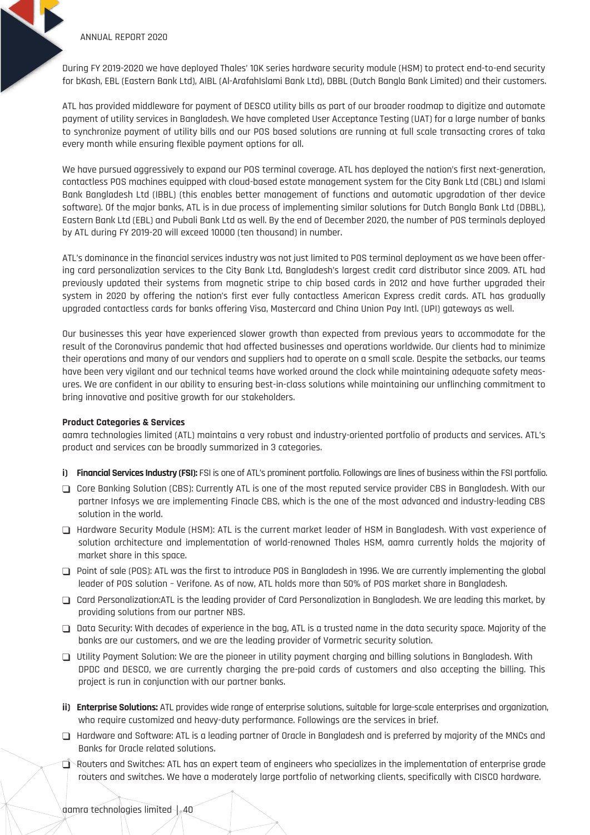During FY 2019-2020 we have deployed Thales' 10K series hardware security module (HSM) to protect end-to-end security for bKash, EBL (Eastern Bank Ltd), AIBL (Al-ArafahIslami Bank Ltd), DBBL (Dutch Bangla Bank Limited) and their customers.

ATL has provided middleware for payment of DESCO utility bills as part of our broader roadmap to digitize and automate payment of utility services in Bangladesh. We have completed User Acceptance Testing (UAT) for a large number of banks to synchronize payment of utility bills and our POS based solutions are running at full scale transacting crores of taka every month while ensuring flexible payment options for all.

We have pursued aggressively to expand our POS terminal coverage. ATL has deployed the nation's first next-generation, contactless POS machines equipped with cloud-based estate management system for the City Bank Ltd (CBL) and Islami Bank Bangladesh Ltd (IBBL) (this enables better management of functions and automatic upgradation of ther device software). Of the major banks, ATL is in due process of implementing similar solutions for Dutch Bangla Bank Ltd (DBBL), Eastern Bank Ltd (EBL) and Pubali Bank Ltd as well. By the end of December 2020, the number of POS terminals deployed by ATL during FY 2019-20 will exceed 10000 (ten thousand) in number.

ATL's dominance in the financial services industry was not just limited to POS terminal deployment as we have been offering card personalization services to the City Bank Ltd, Bangladesh's largest credit card distributor since 2009. ATL had previously updated their systems from magnetic stripe to chip based cards in 2012 and have further upgraded their system in 2020 by offering the nation's first ever fully contactless American Express credit cards. ATL has gradually upgraded contactless cards for banks offering Visa, Mastercard and China Union Pay Intl. (UPI) gateways as well.

Our businesses this year have experienced slower growth than expected from previous years to accommodate for the result of the Coronavirus pandemic that had affected businesses and operations worldwide. Our clients had to minimize their operations and many of our vendors and suppliers had to operate on a small scale. Despite the setbacks, our teams have been very vigilant and our technical teams have worked around the clock while maintaining adequate safety measures. We are confident in our ability to ensuring best-in-class solutions while maintaining our unflinching commitment to bring innovative and positive growth for our stakeholders.

#### **Product Categories & Services**

aamra technologies limited (ATL) maintains a very robust and industry-oriented portfolio of products and services. ATL's product and services can be broadly summarized in 3 categories.

- **i) Financial Services Industry (FSI):** FSI is one of ATL's prominent portfolio. Followings are lines of business within the FSI portfolio.
- Core Banking Solution (CBS): Currently ATL is one of the most reputed service provider CBS in Bangladesh. With our partner Infosys we are implementing Finacle CBS, which is the one of the most advanced and industry-leading CBS solution in the world.
- Hardware Security Module (HSM): ATL is the current market leader of HSM in Bangladesh. With vast experience of solution architecture and implementation of world-renowned Thales HSM, aamra currently holds the majority of market share in this space.
- Point of sale (POS): ATL was the first to introduce POS in Bangladesh in 1996. We are currently implementing the global leader of POS solution – Verifone. As of now, ATL holds more than 50% of POS market share in Bangladesh.
- Card Personalization:ATL is the leading provider of Card Personalization in Bangladesh. We are leading this market, by providing solutions from our partner NBS.
- Data Security: With decades of experience in the bag, ATL is a trusted name in the data security space. Majority of the banks are our customers, and we are the leading provider of Vormetric security solution.
- $\Box$  Utility Payment Solution: We are the pioneer in utility payment charging and billing solutions in Bangladesh. With DPDC and DESCO, we are currently charging the pre-paid cards of customers and also accepting the billing. This project is run in conjunction with our partner banks.
- **ii) Enterprise Solutions:** ATL provides wide range of enterprise solutions, suitable for large-scale enterprises and organization, who require customized and heavy-duty performance. Followings are the services in brief.
- Hardware and Software: ATL is a leading partner of Oracle in Bangladesh and is preferred by majority of the MNCs and Banks for Oracle related solutions.
- $\Box$  Routers and Switches: ATL has an expert team of engineers who specializes in the implementation of enterprise grade routers and switches. We have a moderately large portfolio of networking clients, specifically with CISCO hardware.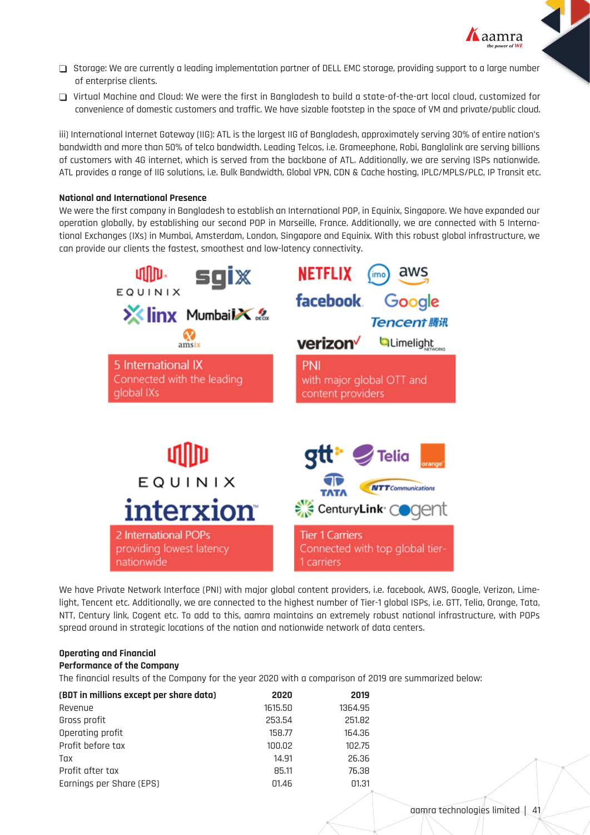

- Storage: We are currently a leading implementation partner of DELL EMC storage, providing support to a large number of enterprise clients.
- Virtual Machine and Cloud: We were the first in Bangladesh to build a state-of-the-art local cloud, customized for convenience of domestic customers and traffic. We have sizable footstep in the space of VM and private/public cloud.

iii) International Internet Gateway (IIG): ATL is the largest IIG of Bangladesh, approximately serving 30% of entire nation's bandwidth and more than 50% of telco bandwidth. Leading Telcos, i.e. Grameephone, Robi, Banglalink are serving billions of customers with 4G internet, which is served from the backbone of ATL. Additionally, we are serving ISPs nationwide. ATL provides a range of IIG solutions, i.e. Bulk Bandwidth, Global VPN, CDN & Cache hosting, IPLC/MPLS/PLC, IP Transit etc.

## **National and International Presence**

We were the first company in Bangladesh to establish an International POP, in Equinix, Singapore. We have expanded our operation globally, by establishing our second POP in Marseille, France. Additionally, we are connected with 5 International Exchanges (IXs) in Mumbai, Amsterdam, London, Singapore and Equinix. With this robust global infrastructure, we can provide our clients the fastest, smoothest and low-latency connectivity.



We have Private Network Interface (PNI) with major global content providers, i.e. facebook, AWS, Google, Verizon, Limelight, Tencent etc. Additionally, we are connected to the highest number of Tier-1 global ISPs, i.e. GTT, Telia, Orange, Tata, NTT, Century link, Cogent etc. To add to this, aamra maintains an extremely robust national infrastructure, with POPs spread around in strategic locations of the nation and nationwide network of data centers.

#### **Operating and Financial**

## **Performance of the Company**

The financial results of the Company for the year 2020 with a comparison of 2019 are summarized below:

| (BDT in millions except per share data) | 2020    | 2019    |
|-----------------------------------------|---------|---------|
| Revenue                                 | 1615,50 | 1364.95 |
| Gross profit                            | 253.54  | 251.82  |
| Operating profit                        | 158.77  | 164.36  |
| Profit before tax                       | 100.02  | 102.75  |
| Tax                                     | 14.91   | 26.36   |
| Profit after tax                        | 85.11   | 76.38   |
| Earnings per Share (EPS)                | 01.46   | 01.31   |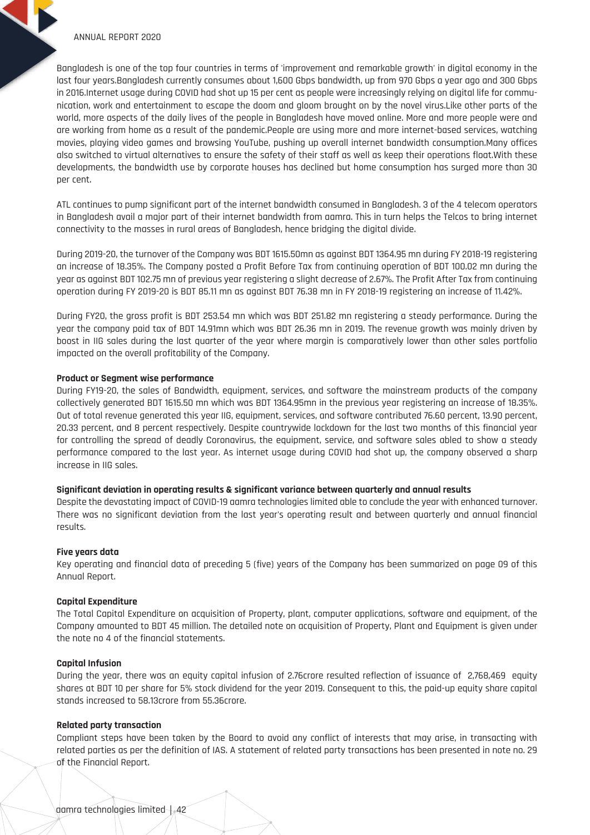Bangladesh is one of the top four countries in terms of 'improvement and remarkable growth' in digital economy in the last four years.Bangladesh currently consumes about 1,600 Gbps bandwidth, up from 970 Gbps a year ago and 300 Gbps in 2016.Internet usage during COVID had shot up 15 per cent as people were increasingly relying on digital life for communication, work and entertainment to escape the doom and gloom brought on by the novel virus.Like other parts of the world, more aspects of the daily lives of the people in Bangladesh have moved online. More and more people were and are working from home as a result of the pandemic.People are using more and more internet-based services, watching movies, playing video games and browsing YouTube, pushing up overall internet bandwidth consumption.Many offices also switched to virtual alternatives to ensure the safety of their staff as well as keep their operations float.With these developments, the bandwidth use by corporate houses has declined but home consumption has surged more than 30 per cent.

ATL continues to pump significant part of the internet bandwidth consumed in Bangladesh. 3 of the 4 telecom operators in Bangladesh avail a major part of their internet bandwidth from aamra. This in turn helps the Telcos to bring internet connectivity to the masses in rural areas of Bangladesh, hence bridging the digital divide.

During 2019-20, the turnover of the Company was BDT 1615.50mn as against BDT 1364.95 mn during FY 2018-19 registering an increase of 18.35%. The Company posted a Profit Before Tax from continuing operation of BDT 100.02 mn during the year as against BDT 102.75 mn of previous year registering a slight decrease of 2.67%. The Profit After Tax from continuing operation during FY 2019-20 is BDT 85.11 mn as against BDT 76.38 mn in FY 2018-19 registering an increase of 11.42%.

During FY20, the gross profit is BDT 253.54 mn which was BDT 251.82 mn registering a steady performance. During the year the company paid tax of BDT 14.91mn which was BDT 26.36 mn in 2019. The revenue growth was mainly driven by boost in IIG sales during the last quarter of the year where margin is comparatively lower than other sales portfolio impacted on the overall profitability of the Company.

#### **Product or Segment wise performance**

During FY19-20, the sales of Bandwidth, equipment, services, and software the mainstream products of the company collectively generated BDT 1615.50 mn which was BDT 1364.95mn in the previous year registering an increase of 18.35%. Out of total revenue generated this year IIG, equipment, services, and software contributed 76.60 percent, 13.90 percent, 20.33 percent, and 8 percent respectively. Despite countrywide lockdown for the last two months of this financial year for controlling the spread of deadly Coronavirus, the equipment, service, and software sales abled to show a steady performance compared to the last year. As internet usage during COVID had shot up, the company observed a sharp increase in IIG sales.

#### **Significant deviation in operating results & significant variance between quarterly and annual results**

Despite the devastating impact of COVID-19 aamra technologies limited able to conclude the year with enhanced turnover. There was no significant deviation from the last year's operating result and between quarterly and annual financial results.

#### **Five years data**

Key operating and financial data of preceding 5 (five) years of the Company has been summarized on page 09 of this Annual Report.

#### **Capital Expenditure**

The Total Capital Expenditure on acquisition of Property, plant, computer applications, software and equipment, of the Company amounted to BDT 45 million. The detailed note on acquisition of Property, Plant and Equipment is given under the note no 4 of the financial statements.

#### **Capital Infusion**

During the year, there was an equity capital infusion of 2.76crore resulted reflection of issuance of 2,768,469 equity shares at BDT 10 per share for 5% stock dividend for the year 2019. Consequent to this, the paid-up equity share capital stands increased to 58.13crore from 55.36crore.

#### **Related party transaction**

Compliant steps have been taken by the Board to avoid any conflict of interests that may arise, in transacting with related parties as per the definition of IAS. A statement of related party transactions has been presented in note no. 29 of the Financial Report.

aamra technologies limited | 42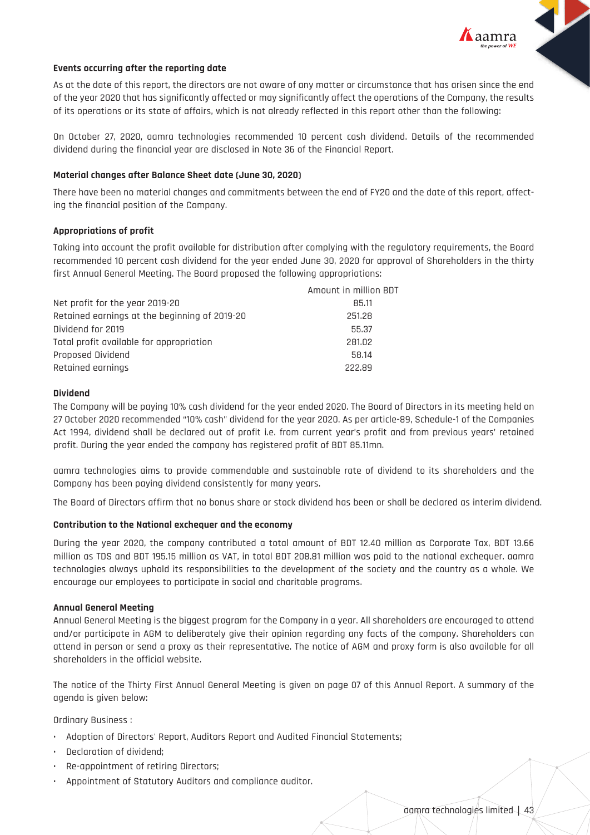

# **Events occurring after the reporting date**

As at the date of this report, the directors are not aware of any matter or circumstance that has arisen since the end of the year 2020 that has significantly affected or may significantly affect the operations of the Company, the results of its operations or its state of affairs, which is not already reflected in this report other than the following:

On October 27, 2020, aamra technologies recommended 10 percent cash dividend. Details of the recommended dividend during the financial year are disclosed in Note 36 of the Financial Report.

#### **Material changes after Balance Sheet date (June 30, 2020)**

There have been no material changes and commitments between the end of FY20 and the date of this report, affecting the financial position of the Company.

#### **Appropriations of profit**

Taking into account the profit available for distribution after complying with the regulatory requirements, the Board recommended 10 percent cash dividend for the year ended June 30, 2020 for approval of Shareholders in the thirty first Annual General Meeting. The Board proposed the following appropriations:

|                                               | Amount in million BDT |
|-----------------------------------------------|-----------------------|
| Net profit for the year 2019-20               | 85.11                 |
| Retained earnings at the beginning of 2019-20 | 251.28                |
| Dividend for 2019                             | 55.37                 |
| Total profit available for appropriation      | 281.02                |
| Proposed Dividend                             | 58.14                 |
| Retained earnings                             | 222.89                |

#### **Dividend**

The Company will be paying 10% cash dividend for the year ended 2020. The Board of Directors in its meeting held on 27 October 2020 recommended "10% cash" dividend for the year 2020. As per article-89, Schedule-1 of the Companies Act 1994, dividend shall be declared out of profit i.e. from current year's profit and from previous years' retained profit. During the year ended the company has registered profit of BDT 85.11mn.

aamra technologies aims to provide commendable and sustainable rate of dividend to its shareholders and the Company has been paying dividend consistently for many years.

The Board of Directors affirm that no bonus share or stock dividend has been or shall be declared as interim dividend.

#### **Contribution to the National exchequer and the economy**

During the year 2020, the company contributed a total amount of BDT 12.40 million as Corporate Tax, BDT 13.66 million as TDS and BDT 195.15 million as VAT, in total BDT 208.81 million was paid to the national exchequer. aamra technologies always uphold its responsibilities to the development of the society and the country as a whole. We encourage our employees to participate in social and charitable programs.

#### **Annual General Meeting**

Annual General Meeting is the biggest program for the Company in a year. All shareholders are encouraged to attend and/or participate in AGM to deliberately give their opinion regarding any facts of the company. Shareholders can attend in person or send a proxy as their representative. The notice of AGM and proxy form is also available for all shareholders in the official website.

The notice of the Thirty First Annual General Meeting is given on page 07 of this Annual Report. A summary of the agenda is given below:

Ordinary Business :

- Adoption of Directors' Report, Auditors Report and Audited Financial Statements;
- Declaration of dividend;
- Re-appointment of retiring Directors;
- Appointment of Statutory Auditors and compliance auditor.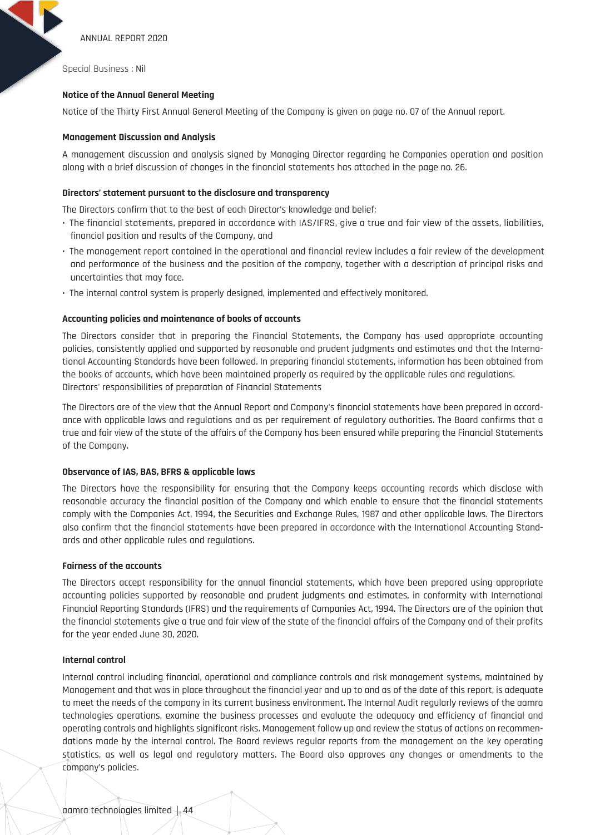Special Business : Nil

## **Notice of the Annual General Meeting**

Notice of the Thirty First Annual General Meeting of the Company is given on page no. 07 of the Annual report.

#### **Management Discussion and Analysis**

A management discussion and analysis signed by Managing Director regarding he Companies operation and position along with a brief discussion of changes in the financial statements has attached in the page no. 26.

#### **Directors' statement pursuant to the disclosure and transparency**

The Directors confirm that to the best of each Director's knowledge and belief:

- The financial statements, prepared in accordance with IAS/IFRS, give a true and fair view of the assets, liabilities, financial position and results of the Company, and
- The management report contained in the operational and financial review includes a fair review of the development and performance of the business and the position of the company, together with a description of principal risks and uncertainties that may face.
- The internal control system is properly designed, implemented and effectively monitored.

## **Accounting policies and maintenance of books of accounts**

The Directors consider that in preparing the Financial Statements, the Company has used appropriate accounting policies, consistently applied and supported by reasonable and prudent judgments and estimates and that the International Accounting Standards have been followed. In preparing financial statements, information has been obtained from the books of accounts, which have been maintained properly as required by the applicable rules and regulations. Directors' responsibilities of preparation of Financial Statements

The Directors are of the view that the Annual Report and Company's financial statements have been prepared in accordance with applicable laws and regulations and as per requirement of regulatory authorities. The Board confirms that a true and fair view of the state of the affairs of the Company has been ensured while preparing the Financial Statements of the Company.

#### **Observance of IAS, BAS, BFRS & applicable laws**

The Directors have the responsibility for ensuring that the Company keeps accounting records which disclose with reasonable accuracy the financial position of the Company and which enable to ensure that the financial statements comply with the Companies Act, 1994, the Securities and Exchange Rules, 1987 and other applicable laws. The Directors also confirm that the financial statements have been prepared in accordance with the International Accounting Standards and other applicable rules and regulations.

#### **Fairness of the accounts**

The Directors accept responsibility for the annual financial statements, which have been prepared using appropriate accounting policies supported by reasonable and prudent judgments and estimates, in conformity with International Financial Reporting Standards (IFRS) and the requirements of Companies Act, 1994. The Directors are of the opinion that the financial statements give a true and fair view of the state of the financial affairs of the Company and of their profits for the year ended June 30, 2020.

#### **Internal control**

Internal control including financial, operational and compliance controls and risk management systems, maintained by Management and that was in place throughout the financial year and up to and as of the date of this report, is adequate to meet the needs of the company in its current business environment. The Internal Audit regularly reviews of the aamra technologies operations, examine the business processes and evaluate the adequacy and efficiency of financial and operating controls and highlights significant risks. Management follow up and review the status of actions on recommendations made by the internal control. The Board reviews regular reports from the management on the key operating statistics, as well as legal and regulatory matters. The Board also approves any changes or amendments to the company's policies.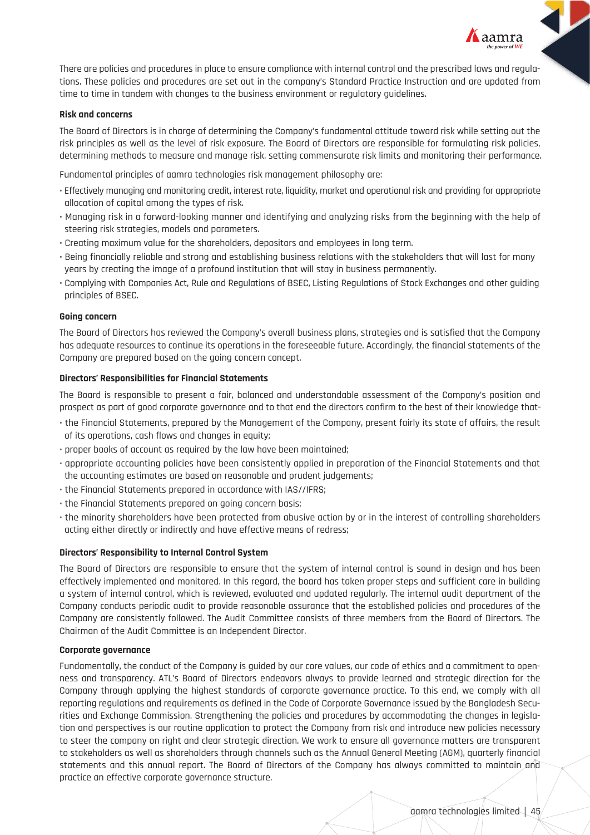

There are policies and procedures in place to ensure compliance with internal control and the prescribed laws and regulations. These policies and procedures are set out in the company's Standard Practice Instruction and are updated from time to time in tandem with changes to the business environment or regulatory guidelines.

## **Risk and concerns**

The Board of Directors is in charge of determining the Company's fundamental attitude toward risk while setting out the risk principles as well as the level of risk exposure. The Board of Directors are responsible for formulating risk policies, determining methods to measure and manage risk, setting commensurate risk limits and monitoring their performance.

Fundamental principles of aamra technologies risk management philosophy are:

- Effectively managing and monitoring credit, interest rate, liquidity, market and operational risk and providing for appropriate allocation of capital among the types of risk.
- Managing risk in a forward-looking manner and identifying and analyzing risks from the beginning with the help of steering risk strategies, models and parameters.
- Creating maximum value for the shareholders, depositors and employees in long term.
- Being financially reliable and strong and establishing business relations with the stakeholders that will last for many years by creating the image of a profound institution that will stay in business permanently.
- Complying with Companies Act, Rule and Regulations of BSEC, Listing Regulations of Stock Exchanges and other guiding principles of BSEC.

#### **Going concern**

The Board of Directors has reviewed the Company's overall business plans, strategies and is satisfied that the Company has adequate resources to continue its operations in the foreseeable future. Accordingly, the financial statements of the Company are prepared based on the going concern concept.

#### **Directors' Responsibilities for Financial Statements**

The Board is responsible to present a fair, balanced and understandable assessment of the Company's position and prospect as part of good corporate governance and to that end the directors confirm to the best of their knowledge that-

- the Financial Statements, prepared by the Management of the Company, present fairly its state of affairs, the result of its operations, cash flows and changes in equity;
- proper books of account as required by the law have been maintained;
- appropriate accounting policies have been consistently applied in preparation of the Financial Statements and that the accounting estimates are based on reasonable and prudent judgements;
- the Financial Statements prepared in accordance with IAS//IFRS;
- the Financial Statements prepared on going concern basis;
- the minority shareholders have been protected from abusive action by or in the interest of controlling shareholders acting either directly or indirectly and have effective means of redress;

#### **Directors' Responsibility to Internal Control System**

The Board of Directors are responsible to ensure that the system of internal control is sound in design and has been effectively implemented and monitored. In this regard, the board has taken proper steps and sufficient care in building a system of internal control, which is reviewed, evaluated and updated regularly. The internal audit department of the Company conducts periodic audit to provide reasonable assurance that the established policies and procedures of the Company are consistently followed. The Audit Committee consists of three members from the Board of Directors. The Chairman of the Audit Committee is an Independent Director.

#### **Corporate governance**

Fundamentally, the conduct of the Company is guided by our core values, our code of ethics and a commitment to openness and transparency. ATL's Board of Directors endeavors always to provide learned and strategic direction for the Company through applying the highest standards of corporate governance practice. To this end, we comply with all reporting regulations and requirements as defined in the Code of Corporate Governance issued by the Bangladesh Securities and Exchange Commission. Strengthening the policies and procedures by accommodating the changes in legislation and perspectives is our routine application to protect the Company from risk and introduce new policies necessary to steer the company on right and clear strategic direction. We work to ensure all governance matters are transparent to stakeholders as well as shareholders through channels such as the Annual General Meeting (AGM), quarterly financial statements and this annual report. The Board of Directors of the Company has always committed to maintain and practice an effective corporate governance structure.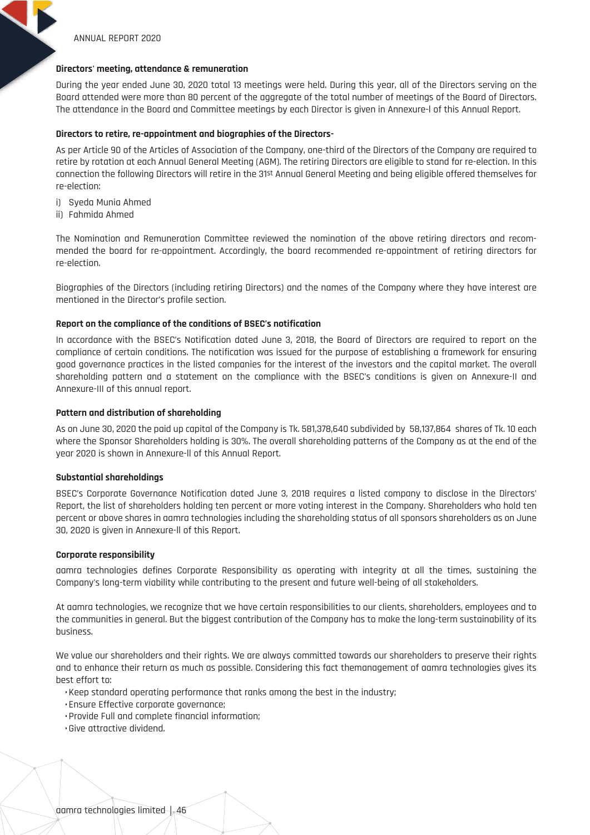## **Directors' meeting, attendance & remuneration**

During the year ended June 30, 2020 total 13 meetings were held. During this year, all of the Directors serving on the Board attended were more than 80 percent of the aggregate of the total number of meetings of the Board of Directors. The attendance in the Board and Committee meetings by each Director is given in Annexure-l of this Annual Report.

# **Directors to retire, re-appointment and biographies of the Directors-**

As per Article 90 of the Articles of Association of the Company, one-third of the Directors of the Company are required to retire by rotation at each Annual General Meeting (AGM). The retiring Directors are eligible to stand for re-election. In this connection the following Directors will retire in the 31st Annual General Meeting and being eligible offered themselves for re-election:

- i) Syeda Munia Ahmed
- ii) Fahmida Ahmed

The Nomination and Remuneration Committee reviewed the nomination of the above retiring directors and recommended the board for re-appointment. Accordingly, the board recommended re-appointment of retiring directors for re-election.

Biographies of the Directors (including retiring Directors) and the names of the Company where they have interest are mentioned in the Director's profile section.

# **Report on the compliance of the conditions of BSEC's notification**

In accordance with the BSEC's Notification dated June 3, 2018, the Board of Directors are required to report on the compliance of certain conditions. The notification was issued for the purpose of establishing a framework for ensuring good governance practices in the listed companies for the interest of the investors and the capital market. The overall shareholding pattern and a statement on the compliance with the BSEC's conditions is given on Annexure-II and Annexure-III of this annual report.

# **Pattern and distribution of shareholding**

As on June 30, 2020 the paid up capital of the Company is Tk. 581,378,640 subdivided by 58,137,864 shares of Tk. 10 each where the Sponsor Shareholders holding is 30%. The overall shareholding patterns of the Company as at the end of the year 2020 is shown in Annexure-ll of this Annual Report.

## **Substantial shareholdings**

BSEC's Corporate Governance Notification dated June 3, 2018 requires a listed company to disclose in the Directors' Report, the list of shareholders holding ten percent or more voting interest in the Company. Shareholders who hold ten percent or above shares in aamra technologies including the shareholding status of all sponsors shareholders as on June 30, 2020 is given in Annexure-ll of this Report.

## **Corporate responsibility**

aamra technologies defines Corporate Responsibility as operating with integrity at all the times, sustaining the Company's long-term viability while contributing to the present and future well-being of all stakeholders.

At aamra technologies, we recognize that we have certain responsibilities to our clients, shareholders, employees and to the communities in general. But the biggest contribution of the Company has to make the long-term sustainability of its business.

We value our shareholders and their rights. We are always committed towards our shareholders to preserve their rights and to enhance their return as much as possible. Considering this fact themanagement of aamra technologies gives its best effort to:

- Keep standard operating performance that ranks among the best in the industry;
- Ensure Effective corporate governance;
- Provide Full and complete financial information;
- Give attractive dividend.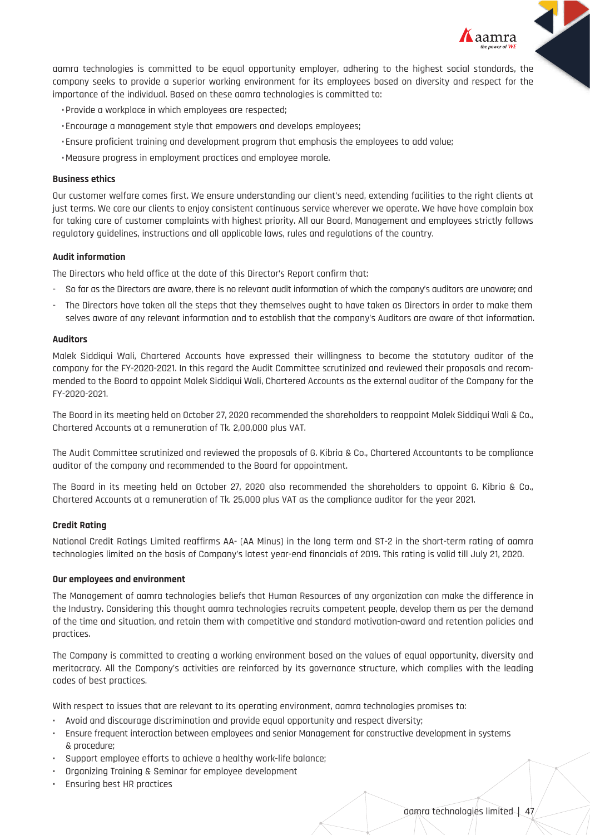

aamra technologies is committed to be equal opportunity employer, adhering to the highest social standards, the company seeks to provide a superior working environment for its employees based on diversity and respect for the importance of the individual. Based on these aamra technologies is committed to:

- Provide a workplace in which employees are respected;
- Encourage a management style that empowers and develops employees;
- Ensure proficient training and development program that emphasis the employees to add value;
- Measure progress in employment practices and employee morale.

## **Business ethics**

Our customer welfare comes first. We ensure understanding our client's need, extending facilities to the right clients at just terms. We care our clients to enjoy consistent continuous service wherever we operate. We have have complain box for taking care of customer complaints with highest priority. All our Board, Management and employees strictly follows regulatory guidelines, instructions and all applicable laws, rules and regulations of the country.

## **Audit information**

The Directors who held office at the date of this Director's Report confirm that:

- So far as the Directors are aware, there is no relevant audit information of which the company's auditors are unaware; and
- The Directors have taken all the steps that they themselves ought to have taken as Directors in order to make them selves aware of any relevant information and to establish that the company's Auditors are aware of that information.

## **Auditors**

Malek Siddiqui Wali, Chartered Accounts have expressed their willingness to become the statutory auditor of the company for the FY-2020-2021. In this regard the Audit Committee scrutinized and reviewed their proposals and recommended to the Board to appoint Malek Siddiqui Wali, Chartered Accounts as the external auditor of the Company for the FY-2020-2021.

The Board in its meeting held on October 27, 2020 recommended the shareholders to reappoint Malek Siddiqui Wali & Co., Chartered Accounts at a remuneration of Tk. 2,00,000 plus VAT.

The Audit Committee scrutinized and reviewed the proposals of G. Kibria & Co., Chartered Accountants to be compliance auditor of the company and recommended to the Board for appointment.

The Board in its meeting held on October 27, 2020 also recommended the shareholders to appoint G. Kibria & Co., Chartered Accounts at a remuneration of Tk. 25,000 plus VAT as the compliance auditor for the year 2021.

## **Credit Rating**

National Credit Ratings Limited reaffirms AA- (AA Minus) in the long term and ST-2 in the short-term rating of aamra technologies limited on the basis of Company's latest year-end financials of 2019. This rating is valid till July 21, 2020.

## **Our employees and environment**

The Management of aamra technologies beliefs that Human Resources of any organization can make the difference in the Industry. Considering this thought aamra technologies recruits competent people, develop them as per the demand of the time and situation, and retain them with competitive and standard motivation-award and retention policies and practices.

The Company is committed to creating a working environment based on the values of equal opportunity, diversity and meritocracy. All the Company's activities are reinforced by its governance structure, which complies with the leading codes of best practices.

With respect to issues that are relevant to its operating environment, aamra technologies promises to:

- Avoid and discourage discrimination and provide equal opportunity and respect diversity;
- Ensure frequent interaction between employees and senior Management for constructive development in systems & procedure;
- Support employee efforts to achieve a healthy work-life balance;
- Organizing Training & Seminar for employee development
- Ensuring best HR practices